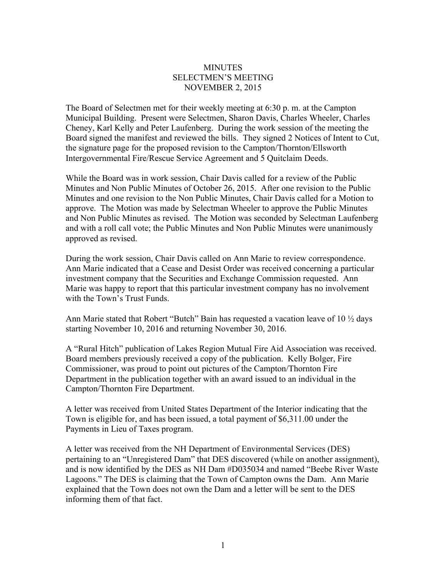## **MINUTES** SELECTMEN'S MEETING NOVEMBER 2, 2015

The Board of Selectmen met for their weekly meeting at 6:30 p. m. at the Campton Municipal Building. Present were Selectmen, Sharon Davis, Charles Wheeler, Charles Cheney, Karl Kelly and Peter Laufenberg. During the work session of the meeting the Board signed the manifest and reviewed the bills. They signed 2 Notices of Intent to Cut, the signature page for the proposed revision to the Campton/Thornton/Ellsworth Intergovernmental Fire/Rescue Service Agreement and 5 Quitclaim Deeds.

While the Board was in work session, Chair Davis called for a review of the Public Minutes and Non Public Minutes of October 26, 2015. After one revision to the Public Minutes and one revision to the Non Public Minutes, Chair Davis called for a Motion to approve. The Motion was made by Selectman Wheeler to approve the Public Minutes and Non Public Minutes as revised. The Motion was seconded by Selectman Laufenberg and with a roll call vote; the Public Minutes and Non Public Minutes were unanimously approved as revised.

During the work session, Chair Davis called on Ann Marie to review correspondence. Ann Marie indicated that a Cease and Desist Order was received concerning a particular investment company that the Securities and Exchange Commission requested. Ann Marie was happy to report that this particular investment company has no involvement with the Town's Trust Funds.

Ann Marie stated that Robert "Butch" Bain has requested a vacation leave of 10 ½ days starting November 10, 2016 and returning November 30, 2016.

A "Rural Hitch" publication of Lakes Region Mutual Fire Aid Association was received. Board members previously received a copy of the publication. Kelly Bolger, Fire Commissioner, was proud to point out pictures of the Campton/Thornton Fire Department in the publication together with an award issued to an individual in the Campton/Thornton Fire Department.

A letter was received from United States Department of the Interior indicating that the Town is eligible for, and has been issued, a total payment of \$6,311.00 under the Payments in Lieu of Taxes program.

A letter was received from the NH Department of Environmental Services (DES) pertaining to an "Unregistered Dam" that DES discovered (while on another assignment), and is now identified by the DES as NH Dam #D035034 and named "Beebe River Waste Lagoons." The DES is claiming that the Town of Campton owns the Dam. Ann Marie explained that the Town does not own the Dam and a letter will be sent to the DES informing them of that fact.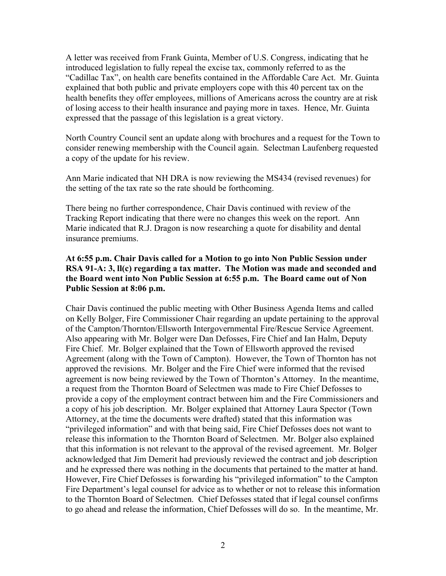A letter was received from Frank Guinta, Member of U.S. Congress, indicating that he introduced legislation to fully repeal the excise tax, commonly referred to as the "Cadillac Tax", on health care benefits contained in the Affordable Care Act. Mr. Guinta explained that both public and private employers cope with this 40 percent tax on the health benefits they offer employees, millions of Americans across the country are at risk of losing access to their health insurance and paying more in taxes. Hence, Mr. Guinta expressed that the passage of this legislation is a great victory.

North Country Council sent an update along with brochures and a request for the Town to consider renewing membership with the Council again. Selectman Laufenberg requested a copy of the update for his review.

Ann Marie indicated that NH DRA is now reviewing the MS434 (revised revenues) for the setting of the tax rate so the rate should be forthcoming.

There being no further correspondence, Chair Davis continued with review of the Tracking Report indicating that there were no changes this week on the report. Ann Marie indicated that R.J. Dragon is now researching a quote for disability and dental insurance premiums.

## **At 6:55 p.m. Chair Davis called for a Motion to go into Non Public Session under RSA 91-A: 3, ll(c) regarding a tax matter. The Motion was made and seconded and the Board went into Non Public Session at 6:55 p.m. The Board came out of Non Public Session at 8:06 p.m.**

Chair Davis continued the public meeting with Other Business Agenda Items and called on Kelly Bolger, Fire Commissioner Chair regarding an update pertaining to the approval of the Campton/Thornton/Ellsworth Intergovernmental Fire/Rescue Service Agreement. Also appearing with Mr. Bolger were Dan Defosses, Fire Chief and Ian Halm, Deputy Fire Chief. Mr. Bolger explained that the Town of Ellsworth approved the revised Agreement (along with the Town of Campton). However, the Town of Thornton has not approved the revisions. Mr. Bolger and the Fire Chief were informed that the revised agreement is now being reviewed by the Town of Thornton's Attorney. In the meantime, a request from the Thornton Board of Selectmen was made to Fire Chief Defosses to provide a copy of the employment contract between him and the Fire Commissioners and a copy of his job description. Mr. Bolger explained that Attorney Laura Spector (Town Attorney, at the time the documents were drafted) stated that this information was "privileged information" and with that being said, Fire Chief Defosses does not want to release this information to the Thornton Board of Selectmen. Mr. Bolger also explained that this information is not relevant to the approval of the revised agreement. Mr. Bolger acknowledged that Jim Demerit had previously reviewed the contract and job description and he expressed there was nothing in the documents that pertained to the matter at hand. However, Fire Chief Defosses is forwarding his "privileged information" to the Campton Fire Department's legal counsel for advice as to whether or not to release this information to the Thornton Board of Selectmen. Chief Defosses stated that if legal counsel confirms to go ahead and release the information, Chief Defosses will do so. In the meantime, Mr.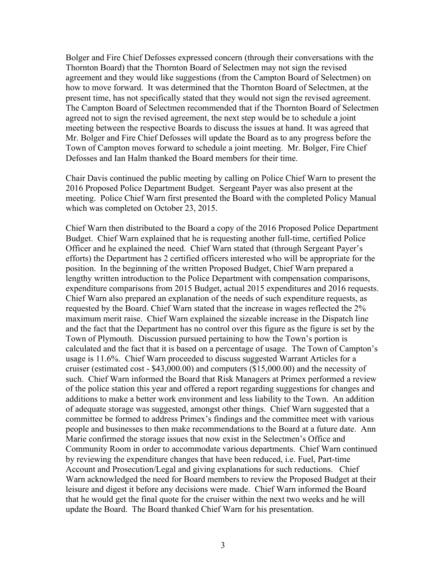Bolger and Fire Chief Defosses expressed concern (through their conversations with the Thornton Board) that the Thornton Board of Selectmen may not sign the revised agreement and they would like suggestions (from the Campton Board of Selectmen) on how to move forward. It was determined that the Thornton Board of Selectmen, at the present time, has not specifically stated that they would not sign the revised agreement. The Campton Board of Selectmen recommended that if the Thornton Board of Selectmen agreed not to sign the revised agreement, the next step would be to schedule a joint meeting between the respective Boards to discuss the issues at hand. It was agreed that Mr. Bolger and Fire Chief Defosses will update the Board as to any progress before the Town of Campton moves forward to schedule a joint meeting. Mr. Bolger, Fire Chief Defosses and Ian Halm thanked the Board members for their time.

Chair Davis continued the public meeting by calling on Police Chief Warn to present the 2016 Proposed Police Department Budget. Sergeant Payer was also present at the meeting. Police Chief Warn first presented the Board with the completed Policy Manual which was completed on October 23, 2015.

Chief Warn then distributed to the Board a copy of the 2016 Proposed Police Department Budget. Chief Warn explained that he is requesting another full-time, certified Police Officer and he explained the need. Chief Warn stated that (through Sergeant Payer's efforts) the Department has 2 certified officers interested who will be appropriate for the position. In the beginning of the written Proposed Budget, Chief Warn prepared a lengthy written introduction to the Police Department with compensation comparisons, expenditure comparisons from 2015 Budget, actual 2015 expenditures and 2016 requests. Chief Warn also prepared an explanation of the needs of such expenditure requests, as requested by the Board. Chief Warn stated that the increase in wages reflected the 2% maximum merit raise. Chief Warn explained the sizeable increase in the Dispatch line and the fact that the Department has no control over this figure as the figure is set by the Town of Plymouth. Discussion pursued pertaining to how the Town's portion is calculated and the fact that it is based on a percentage of usage. The Town of Campton's usage is 11.6%. Chief Warn proceeded to discuss suggested Warrant Articles for a cruiser (estimated cost - \$43,000.00) and computers (\$15,000.00) and the necessity of such. Chief Warn informed the Board that Risk Managers at Primex performed a review of the police station this year and offered a report regarding suggestions for changes and additions to make a better work environment and less liability to the Town. An addition of adequate storage was suggested, amongst other things. Chief Warn suggested that a committee be formed to address Primex's findings and the committee meet with various people and businesses to then make recommendations to the Board at a future date. Ann Marie confirmed the storage issues that now exist in the Selectmen's Office and Community Room in order to accommodate various departments. Chief Warn continued by reviewing the expenditure changes that have been reduced, i.e. Fuel, Part-time Account and Prosecution/Legal and giving explanations for such reductions. Chief Warn acknowledged the need for Board members to review the Proposed Budget at their leisure and digest it before any decisions were made. Chief Warn informed the Board that he would get the final quote for the cruiser within the next two weeks and he will update the Board. The Board thanked Chief Warn for his presentation.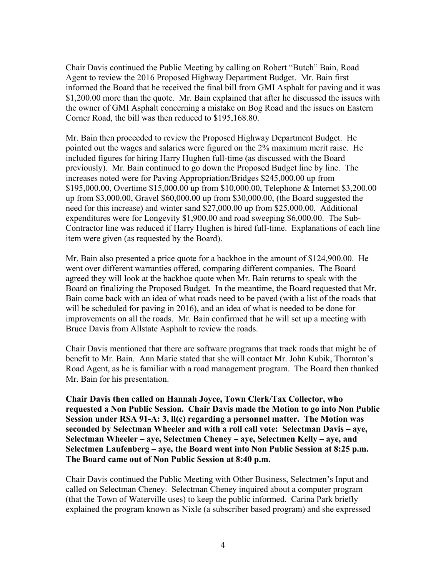Chair Davis continued the Public Meeting by calling on Robert "Butch" Bain, Road Agent to review the 2016 Proposed Highway Department Budget. Mr. Bain first informed the Board that he received the final bill from GMI Asphalt for paving and it was \$1,200.00 more than the quote. Mr. Bain explained that after he discussed the issues with the owner of GMI Asphalt concerning a mistake on Bog Road and the issues on Eastern Corner Road, the bill was then reduced to \$195,168.80.

Mr. Bain then proceeded to review the Proposed Highway Department Budget. He pointed out the wages and salaries were figured on the 2% maximum merit raise. He included figures for hiring Harry Hughen full-time (as discussed with the Board previously). Mr. Bain continued to go down the Proposed Budget line by line. The increases noted were for Paving Appropriation/Bridges \$245,000.00 up from \$195,000.00, Overtime \$15,000.00 up from \$10,000.00, Telephone & Internet \$3,200.00 up from \$3,000.00, Gravel \$60,000.00 up from \$30,000.00, (the Board suggested the need for this increase) and winter sand \$27,000.00 up from \$25,000.00. Additional expenditures were for Longevity \$1,900.00 and road sweeping \$6,000.00. The Sub-Contractor line was reduced if Harry Hughen is hired full-time. Explanations of each line item were given (as requested by the Board).

Mr. Bain also presented a price quote for a backhoe in the amount of \$124,900.00. He went over different warranties offered, comparing different companies. The Board agreed they will look at the backhoe quote when Mr. Bain returns to speak with the Board on finalizing the Proposed Budget. In the meantime, the Board requested that Mr. Bain come back with an idea of what roads need to be paved (with a list of the roads that will be scheduled for paving in 2016), and an idea of what is needed to be done for improvements on all the roads. Mr. Bain confirmed that he will set up a meeting with Bruce Davis from Allstate Asphalt to review the roads.

Chair Davis mentioned that there are software programs that track roads that might be of benefit to Mr. Bain. Ann Marie stated that she will contact Mr. John Kubik, Thornton's Road Agent, as he is familiar with a road management program. The Board then thanked Mr. Bain for his presentation.

**Chair Davis then called on Hannah Joyce, Town Clerk/Tax Collector, who requested a Non Public Session. Chair Davis made the Motion to go into Non Public Session under RSA 91-A: 3, ll(c) regarding a personnel matter. The Motion was seconded by Selectman Wheeler and with a roll call vote: Selectman Davis – aye, Selectman Wheeler – aye, Selectmen Cheney – aye, Selectmen Kelly – aye, and Selectmen Laufenberg – aye, the Board went into Non Public Session at 8:25 p.m. The Board came out of Non Public Session at 8:40 p.m.** 

Chair Davis continued the Public Meeting with Other Business, Selectmen's Input and called on Selectman Cheney. Selectman Cheney inquired about a computer program (that the Town of Waterville uses) to keep the public informed. Carina Park briefly explained the program known as Nixle (a subscriber based program) and she expressed